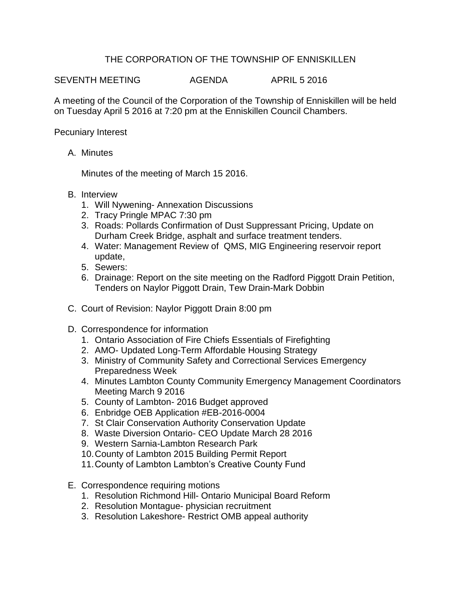## THE CORPORATION OF THE TOWNSHIP OF ENNISKILLEN

SEVENTH MEETING AGENDA APRIL 5 2016

A meeting of the Council of the Corporation of the Township of Enniskillen will be held on Tuesday April 5 2016 at 7:20 pm at the Enniskillen Council Chambers.

Pecuniary Interest

A. Minutes

Minutes of the meeting of March 15 2016.

- B. Interview
	- 1. Will Nywening- Annexation Discussions
	- 2. Tracy Pringle MPAC 7:30 pm
	- 3. Roads: Pollards Confirmation of Dust Suppressant Pricing, Update on Durham Creek Bridge, asphalt and surface treatment tenders.
	- 4. Water: Management Review of QMS, MIG Engineering reservoir report update,
	- 5. Sewers:
	- 6. Drainage: Report on the site meeting on the Radford Piggott Drain Petition, Tenders on Naylor Piggott Drain, Tew Drain-Mark Dobbin
- C. Court of Revision: Naylor Piggott Drain 8:00 pm
- D. Correspondence for information
	- 1. Ontario Association of Fire Chiefs Essentials of Firefighting
	- 2. AMO- Updated Long-Term Affordable Housing Strategy
	- 3. Ministry of Community Safety and Correctional Services Emergency Preparedness Week
	- 4. Minutes Lambton County Community Emergency Management Coordinators Meeting March 9 2016
	- 5. County of Lambton- 2016 Budget approved
	- 6. Enbridge OEB Application #EB-2016-0004
	- 7. St Clair Conservation Authority Conservation Update
	- 8. Waste Diversion Ontario- CEO Update March 28 2016
	- 9. Western Sarnia-Lambton Research Park
	- 10.County of Lambton 2015 Building Permit Report
	- 11.County of Lambton Lambton's Creative County Fund
- E. Correspondence requiring motions
	- 1. Resolution Richmond Hill- Ontario Municipal Board Reform
	- 2. Resolution Montague- physician recruitment
	- 3. Resolution Lakeshore- Restrict OMB appeal authority